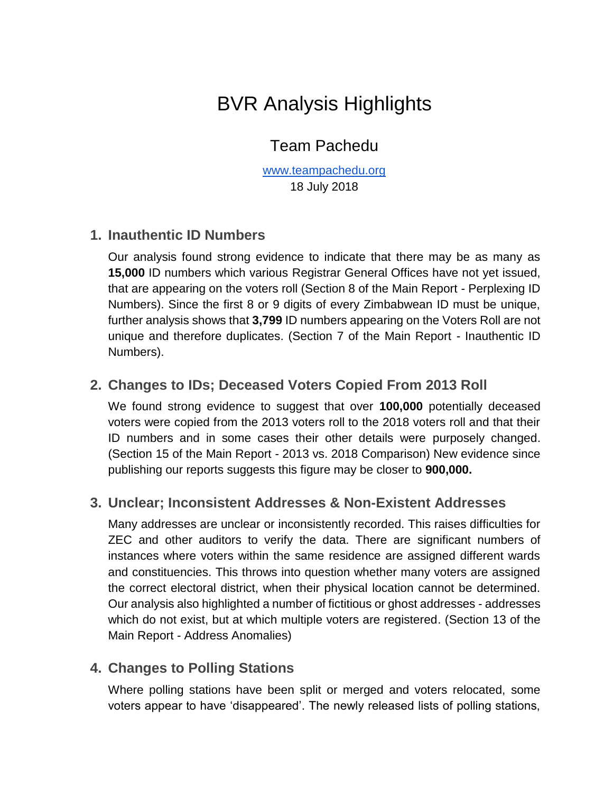# BVR Analysis Highlights

# Team Pachedu

[www.teampachedu.org](http://www.teampachedu.org/) 18 July 2018

### **1. Inauthentic ID Numbers**

Our analysis found strong evidence to indicate that there may be as many as **15,000** ID numbers which various Registrar General Offices have not yet issued, that are appearing on the voters roll (Section 8 of the Main Report - Perplexing ID Numbers). Since the first 8 or 9 digits of every Zimbabwean ID must be unique, further analysis shows that **3,799** ID numbers appearing on the Voters Roll are not unique and therefore duplicates. (Section 7 of the Main Report - Inauthentic ID Numbers).

### **2. Changes to IDs; Deceased Voters Copied From 2013 Roll**

We found strong evidence to suggest that over **100,000** potentially deceased voters were copied from the 2013 voters roll to the 2018 voters roll and that their ID numbers and in some cases their other details were purposely changed. (Section 15 of the Main Report - 2013 vs. 2018 Comparison) New evidence since publishing our reports suggests this figure may be closer to **900,000.**

#### **3. Unclear; Inconsistent Addresses & Non-Existent Addresses**

Many addresses are unclear or inconsistently recorded. This raises difficulties for ZEC and other auditors to verify the data. There are significant numbers of instances where voters within the same residence are assigned different wards and constituencies. This throws into question whether many voters are assigned the correct electoral district, when their physical location cannot be determined. Our analysis also highlighted a number of fictitious or ghost addresses - addresses which do not exist, but at which multiple voters are registered. (Section 13 of the Main Report - Address Anomalies)

#### **4. Changes to Polling Stations**

Where polling stations have been split or merged and voters relocated, some voters appear to have 'disappeared'. The newly released lists of polling stations,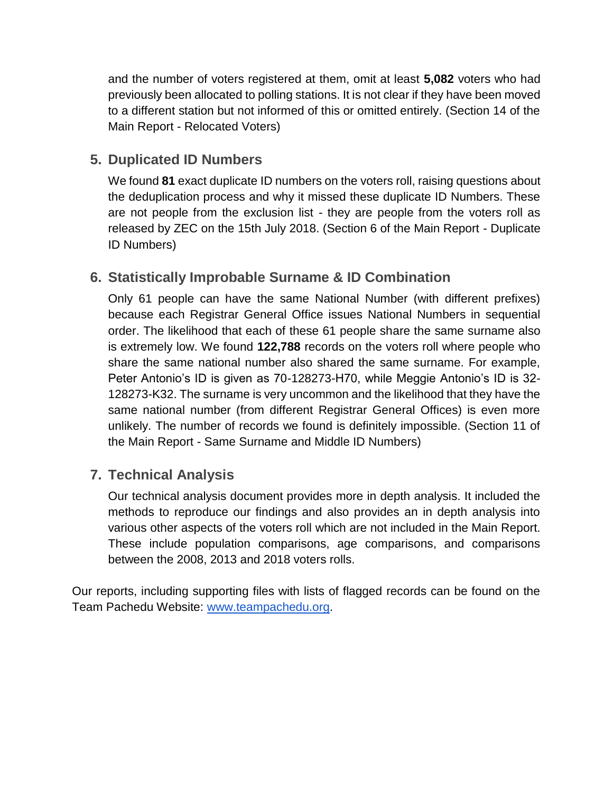and the number of voters registered at them, omit at least **5,082** voters who had previously been allocated to polling stations. It is not clear if they have been moved to a different station but not informed of this or omitted entirely. (Section 14 of the Main Report - Relocated Voters)

# **5. Duplicated ID Numbers**

We found **81** exact duplicate ID numbers on the voters roll, raising questions about the deduplication process and why it missed these duplicate ID Numbers. These are not people from the exclusion list - they are people from the voters roll as released by ZEC on the 15th July 2018. (Section 6 of the Main Report - Duplicate ID Numbers)

# **6. Statistically Improbable Surname & ID Combination**

Only 61 people can have the same National Number (with different prefixes) because each Registrar General Office issues National Numbers in sequential order. The likelihood that each of these 61 people share the same surname also is extremely low. We found **122,788** records on the voters roll where people who share the same national number also shared the same surname. For example, Peter Antonio's ID is given as 70-128273-H70, while Meggie Antonio's ID is 32- 128273-K32. The surname is very uncommon and the likelihood that they have the same national number (from different Registrar General Offices) is even more unlikely. The number of records we found is definitely impossible. (Section 11 of the Main Report - Same Surname and Middle ID Numbers)

# **7. Technical Analysis**

Our technical analysis document provides more in depth analysis. It included the methods to reproduce our findings and also provides an in depth analysis into various other aspects of the voters roll which are not included in the Main Report. These include population comparisons, age comparisons, and comparisons between the 2008, 2013 and 2018 voters rolls.

Our reports, including supporting files with lists of flagged records can be found on the Team Pachedu Website: [www.teampachedu.org.](http://www.teampachedu.org/)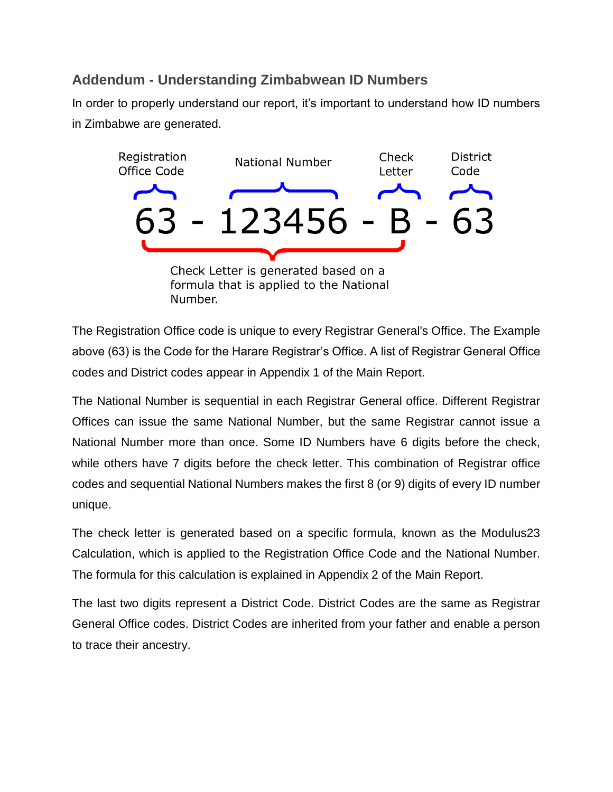## **Addendum - Understanding Zimbabwean ID Numbers**

In order to properly understand our report, it's important to understand how ID numbers in Zimbabwe are generated.



The Registration Office code is unique to every Registrar General's Office. The Example above (63) is the Code for the Harare Registrar's Office. A list of Registrar General Office codes and District codes appear in Appendix 1 of the Main Report.

The National Number is sequential in each Registrar General office. Different Registrar Offices can issue the same National Number, but the same Registrar cannot issue a National Number more than once. Some ID Numbers have 6 digits before the check, while others have 7 digits before the check letter. This combination of Registrar office codes and sequential National Numbers makes the first 8 (or 9) digits of every ID number unique.

The check letter is generated based on a specific formula, known as the Modulus23 Calculation, which is applied to the Registration Office Code and the National Number. The formula for this calculation is explained in Appendix 2 of the Main Report.

The last two digits represent a District Code. District Codes are the same as Registrar General Office codes. District Codes are inherited from your father and enable a person to trace their ancestry.